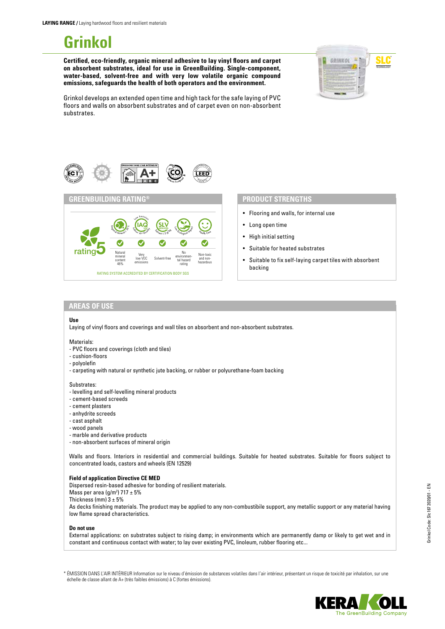# **Grinkol**

**Certified, eco-friendly, organic mineral adhesive to lay vinyl floors and carpet on absorbent substrates, ideal for use in GreenBuilding. Single-component, water-based, solvent-free and with very low volatile organic compound emissions, safeguards the health of both operators and the environment.**



Grinkol develops an extended open time and high tack for the safe laying of PVC floors and walls on absorbent substrates and of carpet even on non-absorbent substrates.





- Flooring and walls, for internal use
- Long open time
- High initial setting
- Suitable for heated substrates
- Suitable to fix self-laying carpet tiles with absorbent backing

### **AREAS OF USE**

#### **Use**

Laying of vinyl floors and coverings and wall tiles on absorbent and non-absorbent substrates.

#### Materials:

- PVC floors and coverings (cloth and tiles)
- cushion-floors
- polyolefin
- carpeting with natural or synthetic jute backing, or rubber or polyurethane-foam backing

#### Substrates:

- levelling and self-levelling mineral products
- cement-based screeds
- cement plasters
- anhydrite screeds
- cast asphalt
- wood panels
- marble and derivative products
- non-absorbent surfaces of mineral origin

Walls and floors. Interiors in residential and commercial buildings. Suitable for heated substrates. Suitable for floors subject to concentrated loads, castors and wheels (EN 12529)

#### **Field of application Directive CE MED**

Dispersed resin-based adhesive for bonding of resilient materials. Mass per area (g/m<sup>2</sup>)  $717 \pm 5\%$ Thickness (mm)  $3 \pm 5\%$ As decks finishing materials. The product may be applied to any non-combustibile support, any metallic support or any material having low flame spread characteristics.

#### **Do not use**

External applications: on substrates subject to rising damp; in environments which are permanently damp or likely to get wet and in constant and continuous contact with water; to lay over existing PVC, linoleum, rubber flooring etc...

\* ÉMISSION DANS L'AIR INTÉRIEUR Information sur le niveau d'émission de substances volatiles dans l'air intérieur, présentant un risque de toxicité par inhalation, sur une échelle de classe allant de A+ (très faibles émissions) à C (fortes émissions).



e GreenBuilding Compar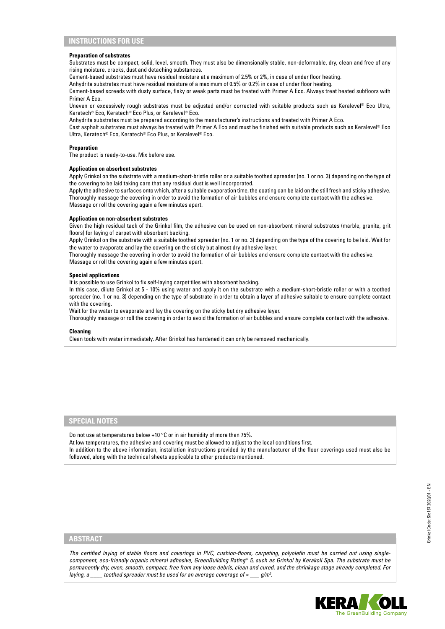# **INSTRUCTIONS FOR USE**

#### **Preparation of substrates**

Substrates must be compact, solid, level, smooth. They must also be dimensionally stable, non-deformable, dry, clean and free of any rising moisture, cracks, dust and detaching substances.

Cement-based substrates must have residual moisture at a maximum of 2.5% or 2%, in case of under floor heating.

Anhydrite substrates must have residual moisture of a maximum of 0.5% or 0.2% in case of under floor heating.

Cement-based screeds with dusty surface, flaky or weak parts must be treated with Primer A Eco. Always treat heated subfloors with Primer A Eco.

Uneven or excessively rough substrates must be adjusted and/or corrected with suitable products such as Keralevel® Eco Ultra, Keratech® Eco, Keratech® Eco Plus, or Keralevel® Eco.

Anhydrite substrates must be prepared according to the manufacturer's instructions and treated with Primer A Eco.

Cast asphalt substrates must always be treated with Primer A Eco and must be finished with suitable products such as Keralevel® Eco Ultra, Keratech® Eco, Keratech® Eco Plus, or Keralevel® Eco.

#### **Preparation**

The product is ready-to-use. Mix before use.

#### **Application on absorbent substrates**

Apply Grinkol on the substrate with a medium-short-bristle roller or a suitable toothed spreader (no. 1 or no. 3) depending on the type of the covering to be laid taking care that any residual dust is well incorporated.

Apply the adhesive to surfaces onto which, after a suitable evaporation time, the coating can be laid on the still fresh and sticky adhesive. Thoroughly massage the covering in order to avoid the formation of air bubbles and ensure complete contact with the adhesive. Massage or roll the covering again a few minutes apart.

#### **Application on non-absorbent substrates**

Given the high residual tack of the Grinkol film, the adhesive can be used on non-absorbent mineral substrates (marble, granite, grit floors) for laying of carpet with absorbent backing.

Apply Grinkol on the substrate with a suitable toothed spreader (no. 1 or no. 3) depending on the type of the covering to be laid. Wait for the water to evaporate and lay the covering on the sticky but almost dry adhesive layer.

Thoroughly massage the covering in order to avoid the formation of air bubbles and ensure complete contact with the adhesive. Massage or roll the covering again a few minutes apart.

# **Special applications**

It is possible to use Grinkol to fix self-laying carpet tiles with absorbent backing.

In this case, dilute Grinkol at 5 - 10% using water and apply it on the substrate with a medium-short-bristle roller or with a toothed spreader (no. 1 or no. 3) depending on the type of substrate in order to obtain a layer of adhesive suitable to ensure complete contact with the covering.

Wait for the water to evaporate and lay the covering on the sticky but dry adhesive layer.

Thoroughly massage or roll the covering in order to avoid the formation of air bubbles and ensure complete contact with the adhesive.

#### **Cleaning**

Clean tools with water immediately. After Grinkol has hardened it can only be removed mechanically.

#### **SPECIAL NOTES**

Do not use at temperatures below +10 °C or in air humidity of more than 75%.

At low temperatures, the adhesive and covering must be allowed to adjust to the local conditions first.

In addition to the above information, installation instructions provided by the manufacturer of the floor coverings used must also be followed, along with the technical sheets applicable to other products mentioned.

## **ABSTRACT**

*The certified laying of stable floors and coverings in PVC, cushion-floors, carpeting, polyolefin must be carried out using singlecomponent, eco-friendly organic mineral adhesive, GreenBuilding Rating® 5, such as Grinkol by Kerakoll Spa. The substrate must be permanently dry, even, smooth, compact, free from any loose debris, clean and cured, and the shrinkage stage already completed. For laying, a \_\_\_\_ toothed spreader must be used for an average coverage of ≈ \_\_\_ g/m2 .*